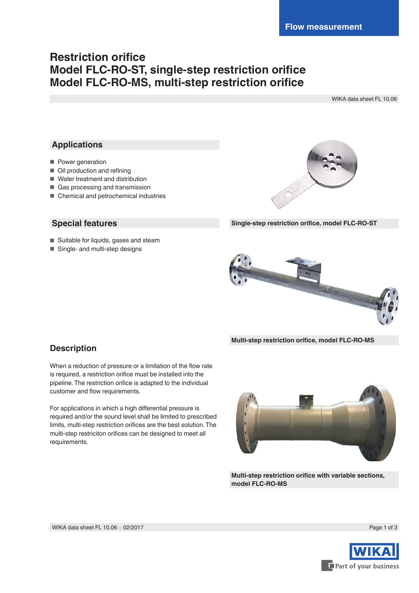# **Restriction orifice Model FLC-RO-ST, single-step restriction orifice Model FLC-RO-MS, multi-step restriction orifice**

WIKA data sheet FL 10.06

# **Applications**

- Power generation
- Oil production and refining
- Water treatment and distribution
- Gas processing and transmission
- Chemical and petrochemical industries

## **Special features**

- Suitable for liquids, gases and steam
- Single- and multi-step designs



**Single-step restriction orifice, model FLC-RO-ST**



**Multi-step restriction orifice, model FLC-RO-MS**

# **Description**

When a reduction of pressure or a limitation of the flow rate is required, a restriction orifice must be installed into the pipeline. The restriction orifice is adapted to the individual customer and flow requirements.

For applications in which a high differential pressure is required and/or the sound level shall be limited to prescribed limits, multi-step restriction orifices are the best solution. The multi-step restriciton orifices can be designed to meet all requirements.



**Multi-step restriction orifice with variable sections, model FLC-RO-MS**



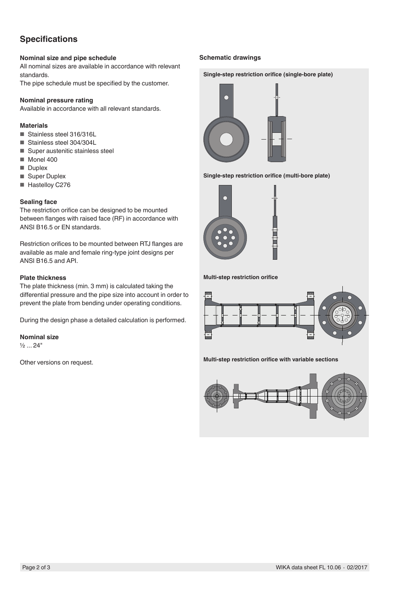# **Specifications**

### **Nominal size and pipe schedule**

All nominal sizes are available in accordance with relevant standards.

The pipe schedule must be specified by the customer.

#### **Nominal pressure rating**

Available in accordance with all relevant standards.

### **Materials**

- Stainless steel 316/316L
- Stainless steel 304/304L
- Super austenitic stainless steel
- Monel 400
- Duplex
- Super Duplex
- Hastelloy C276

#### **Sealing face**

The restriction orifice can be designed to be mounted between flanges with raised face (RF) in accordance with ANSI B16.5 or EN standards.

Restriction orifices to be mounted between RTJ flanges are available as male and female ring-type joint designs per ANSI B16.5 and API.

#### **Plate thickness**

The plate thickness (min. 3 mm) is calculated taking the differential pressure and the pipe size into account in order to prevent the plate from bending under operating conditions.

During the design phase a detailed calculation is performed.

### **Nominal size**

 $\frac{1}{2}$  ... 24"

Other versions on request.

### **Schematic drawings**









**Multi-step restriction orifice**



**Multi-step restriction orifice with variable sections**